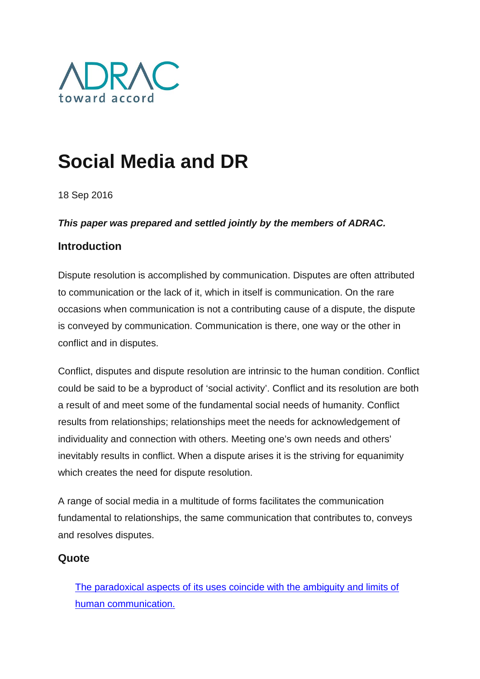

# **Social Media and DR**

18 Sep 2016

#### *This paper was prepared and settled jointly by the members of ADRAC.*

#### **Introduction**

Dispute resolution is accomplished by communication. Disputes are often attributed to communication or the lack of it, which in itself is communication. On the rare occasions when communication is not a contributing cause of a dispute, the dispute is conveyed by communication. Communication is there, one way or the other in conflict and in disputes.

Conflict, disputes and dispute resolution are intrinsic to the human condition. Conflict could be said to be a byproduct of 'social activity'. Conflict and its resolution are both a result of and meet some of the fundamental social needs of humanity. Conflict results from relationships; relationships meet the needs for acknowledgement of individuality and connection with others. Meeting one's own needs and others' inevitably results in conflict. When a dispute arises it is the striving for equanimity which creates the need for dispute resolution.

A range of social media in a multitude of forms facilitates the communication fundamental to relationships, the same communication that contributes to, conveys and resolves disputes.

#### **Quote**

[The paradoxical aspects of its uses coincide with the ambiguity and limits of](http://www.kiwanja.net/database/document/report_mobile_history.pdf)  [human communication.](http://www.kiwanja.net/database/document/report_mobile_history.pdf)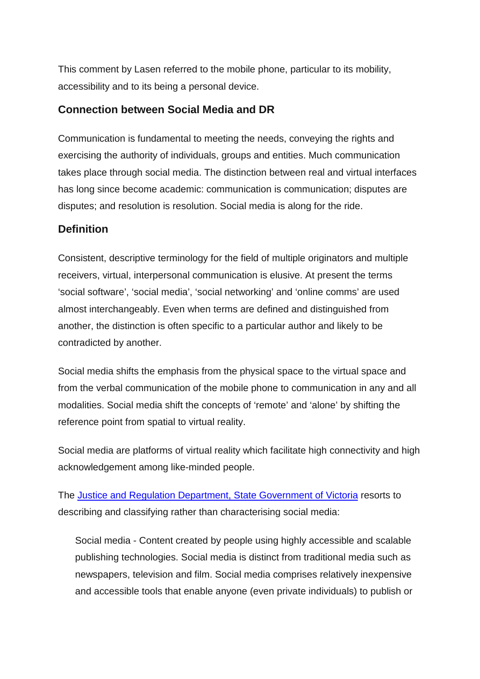This comment by Lasen referred to the mobile phone, particular to its mobility, accessibility and to its being a personal device.

### **Connection between Social Media and DR**

Communication is fundamental to meeting the needs, conveying the rights and exercising the authority of individuals, groups and entities. Much communication takes place through social media. The distinction between real and virtual interfaces has long since become academic: communication is communication; disputes are disputes; and resolution is resolution. Social media is along for the ride.

## **Definition**

Consistent, descriptive terminology for the field of multiple originators and multiple receivers, virtual, interpersonal communication is elusive. At present the terms 'social software', 'social media', 'social networking' and 'online comms' are used almost interchangeably. Even when terms are defined and distinguished from another, the distinction is often specific to a particular author and likely to be contradicted by another.

Social media shifts the emphasis from the physical space to the virtual space and from the verbal communication of the mobile phone to communication in any and all modalities. Social media shift the concepts of 'remote' and 'alone' by shifting the reference point from spatial to virtual reality.

Social media are platforms of virtual reality which facilitate high connectivity and high acknowledgement among like-minded people.

The [Justice and Regulation Department, State Government of Victoria](http://www.justice.vic.gov.au/utility/social+media/social+media+policy) resorts to describing and classifying rather than characterising social media:

Social media - Content created by people using highly accessible and scalable publishing technologies. Social media is distinct from traditional media such as newspapers, television and film. Social media comprises relatively inexpensive and accessible tools that enable anyone (even private individuals) to publish or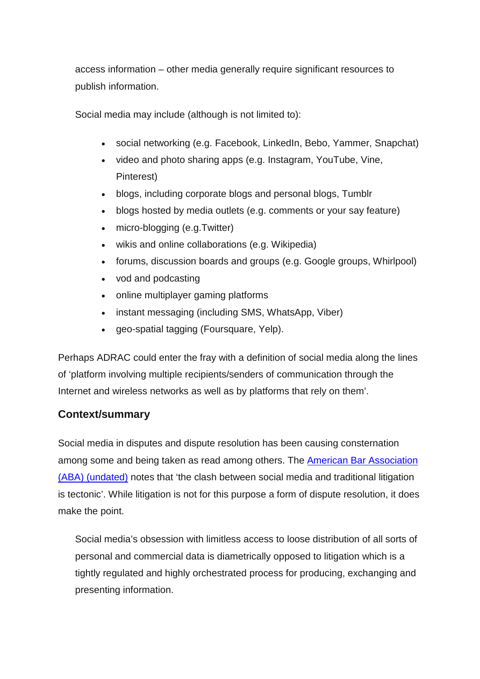access information – other media generally require significant resources to publish information.

Social media may include (although is not limited to):

- social networking (e.g. Facebook, LinkedIn, Bebo, Yammer, Snapchat)
- video and photo sharing apps (e.g. Instagram, YouTube, Vine, Pinterest)
- blogs, including corporate blogs and personal blogs, Tumblr
- blogs hosted by media outlets (e.g. comments or your say feature)
- micro-blogging (e.g.Twitter)
- wikis and online collaborations (e.g. Wikipedia)
- forums, discussion boards and groups (e.g. Google groups, Whirlpool)
- vod and podcasting
- online multiplayer gaming platforms
- instant messaging (including SMS, WhatsApp, Viber)
- geo-spatial tagging (Foursquare, Yelp).

Perhaps ADRAC could enter the fray with a definition of social media along the lines of 'platform involving multiple recipients/senders of communication through the Internet and wireless networks as well as by platforms that rely on them'.

## **Context/summary**

Social media in disputes and dispute resolution has been causing consternation among some and being taken as read among others. The [American Bar Association](http://www.americanbar.org/content/dam/aba/events/labor_law/2013/02/adr_in_labor_employmentlawcommitteemidwintermeeting/g.authcheckdam.pdf)  [\(ABA\) \(undated\)](http://www.americanbar.org/content/dam/aba/events/labor_law/2013/02/adr_in_labor_employmentlawcommitteemidwintermeeting/g.authcheckdam.pdf) notes that 'the clash between social media and traditional litigation is tectonic'. While litigation is not for this purpose a form of dispute resolution, it does make the point.

Social media's obsession with limitless access to loose distribution of all sorts of personal and commercial data is diametrically opposed to litigation which is a tightly regulated and highly orchestrated process for producing, exchanging and presenting information.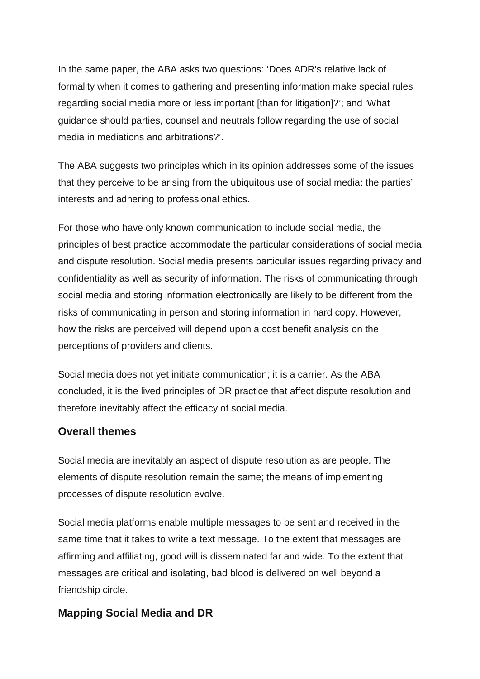In the same paper, the ABA asks two questions: 'Does ADR's relative lack of formality when it comes to gathering and presenting information make special rules regarding social media more or less important [than for litigation]?'; and 'What guidance should parties, counsel and neutrals follow regarding the use of social media in mediations and arbitrations?'.

The ABA suggests two principles which in its opinion addresses some of the issues that they perceive to be arising from the ubiquitous use of social media: the parties' interests and adhering to professional ethics.

For those who have only known communication to include social media, the principles of best practice accommodate the particular considerations of social media and dispute resolution. Social media presents particular issues regarding privacy and confidentiality as well as security of information. The risks of communicating through social media and storing information electronically are likely to be different from the risks of communicating in person and storing information in hard copy. However, how the risks are perceived will depend upon a cost benefit analysis on the perceptions of providers and clients.

Social media does not yet initiate communication; it is a carrier. As the ABA concluded, it is the lived principles of DR practice that affect dispute resolution and therefore inevitably affect the efficacy of social media.

## **Overall themes**

Social media are inevitably an aspect of dispute resolution as are people. The elements of dispute resolution remain the same; the means of implementing processes of dispute resolution evolve.

Social media platforms enable multiple messages to be sent and received in the same time that it takes to write a text message. To the extent that messages are affirming and affiliating, good will is disseminated far and wide. To the extent that messages are critical and isolating, bad blood is delivered on well beyond a friendship circle.

## **Mapping Social Media and DR**